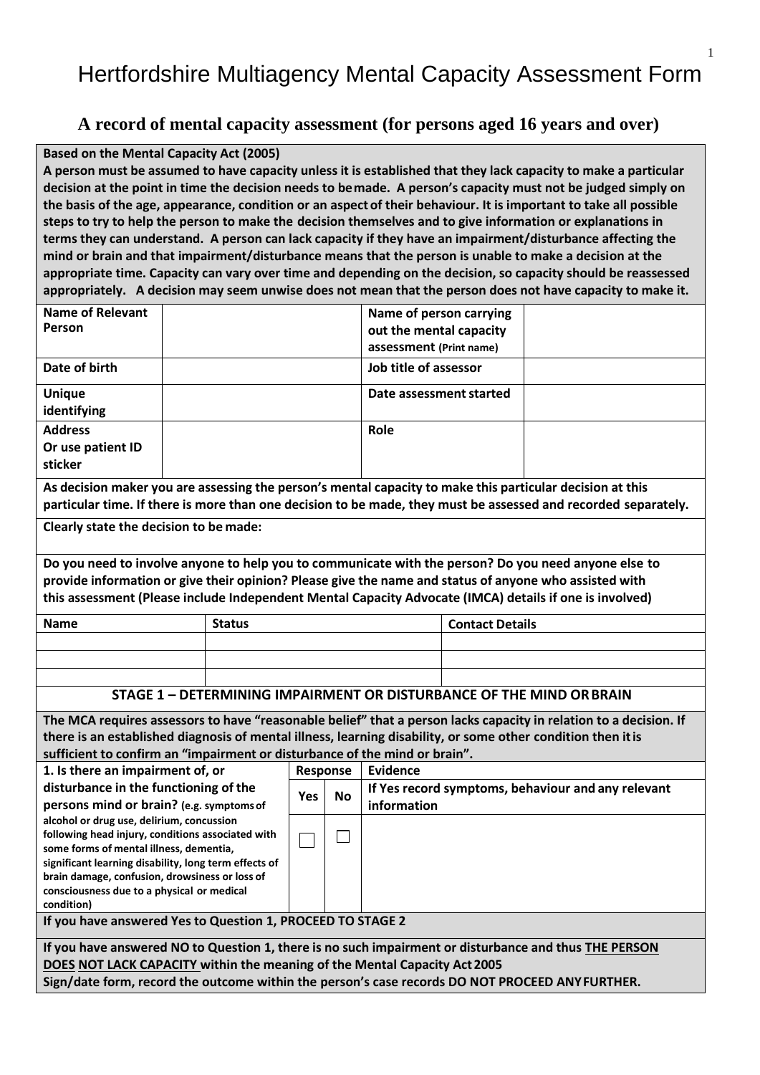## Hertfordshire Multiagency Mental Capacity Assessment Form

## **A record of mental capacity assessment (for persons aged 16 years and over)**

## **Based on the Mental Capacity Act (2005)**

A person must be assumed to have capacity unless it is established that they lack capacity to make a particular **decision at the point in time the decision needs to bemade. A person's capacity must not be judged simply on the basis of the age, appearance, condition or an aspect of their behaviour. It is important to take all possible steps to try to help the person to make the decision themselves and to give information or explanations in terms they can understand. A person can lack capacity if they have an impairment/disturbance affecting the mind or brain and that impairment/disturbance means that the person is unable to make a decision at the appropriate time. Capacity can vary over time and depending on the decision, so capacity should be reassessed appropriately. A decision may seem unwise does not mean that the person does not have capacity to make it.**

| <b>Name of Relevant</b>                                                                                                                                                                                           |               |           | Name of person carrying |                        |                                                    |  |
|-------------------------------------------------------------------------------------------------------------------------------------------------------------------------------------------------------------------|---------------|-----------|-------------------------|------------------------|----------------------------------------------------|--|
| Person                                                                                                                                                                                                            |               |           | out the mental capacity |                        |                                                    |  |
|                                                                                                                                                                                                                   |               |           | assessment (Print name) |                        |                                                    |  |
| Date of birth                                                                                                                                                                                                     |               |           | Job title of assessor   |                        |                                                    |  |
| <b>Unique</b>                                                                                                                                                                                                     |               |           | Date assessment started |                        |                                                    |  |
| identifying                                                                                                                                                                                                       |               |           |                         |                        |                                                    |  |
| <b>Address</b>                                                                                                                                                                                                    |               |           | Role                    |                        |                                                    |  |
| Or use patient ID                                                                                                                                                                                                 |               |           |                         |                        |                                                    |  |
| sticker                                                                                                                                                                                                           |               |           |                         |                        |                                                    |  |
| As decision maker you are assessing the person's mental capacity to make this particular decision at this                                                                                                         |               |           |                         |                        |                                                    |  |
| particular time. If there is more than one decision to be made, they must be assessed and recorded separately.                                                                                                    |               |           |                         |                        |                                                    |  |
| Clearly state the decision to be made:                                                                                                                                                                            |               |           |                         |                        |                                                    |  |
| Do you need to involve anyone to help you to communicate with the person? Do you need anyone else to                                                                                                              |               |           |                         |                        |                                                    |  |
|                                                                                                                                                                                                                   |               |           |                         |                        |                                                    |  |
| provide information or give their opinion? Please give the name and status of anyone who assisted with<br>this assessment (Please include Independent Mental Capacity Advocate (IMCA) details if one is involved) |               |           |                         |                        |                                                    |  |
|                                                                                                                                                                                                                   |               |           |                         |                        |                                                    |  |
| <b>Name</b>                                                                                                                                                                                                       | <b>Status</b> |           |                         | <b>Contact Details</b> |                                                    |  |
|                                                                                                                                                                                                                   |               |           |                         |                        |                                                    |  |
|                                                                                                                                                                                                                   |               |           |                         |                        |                                                    |  |
| STAGE 1 - DETERMINING IMPAIRMENT OR DISTURBANCE OF THE MIND OR BRAIN                                                                                                                                              |               |           |                         |                        |                                                    |  |
| The MCA requires assessors to have "reasonable belief" that a person lacks capacity in relation to a decision. If                                                                                                 |               |           |                         |                        |                                                    |  |
| there is an established diagnosis of mental illness, learning disability, or some other condition then it is                                                                                                      |               |           |                         |                        |                                                    |  |
| sufficient to confirm an "impairment or disturbance of the mind or brain".                                                                                                                                        |               |           |                         |                        |                                                    |  |
| 1. Is there an impairment of, or                                                                                                                                                                                  |               | Response  | <b>Evidence</b>         |                        |                                                    |  |
| disturbance in the functioning of the                                                                                                                                                                             | Yes           | <b>No</b> |                         |                        | If Yes record symptoms, behaviour and any relevant |  |
| persons mind or brain? (e.g. symptoms of                                                                                                                                                                          |               |           | information             |                        |                                                    |  |
| alcohol or drug use, delirium, concussion                                                                                                                                                                         |               |           |                         |                        |                                                    |  |
| following head injury, conditions associated with<br>some forms of mental illness, dementia,                                                                                                                      |               |           |                         |                        |                                                    |  |
| significant learning disability, long term effects of                                                                                                                                                             |               |           |                         |                        |                                                    |  |
| brain damage, confusion, drowsiness or loss of                                                                                                                                                                    |               |           |                         |                        |                                                    |  |
| consciousness due to a physical or medical<br>condition)                                                                                                                                                          |               |           |                         |                        |                                                    |  |
| If you have answered Yes to Question 1, PROCEED TO STAGE 2                                                                                                                                                        |               |           |                         |                        |                                                    |  |
| If you have answered NO to Question 1, there is no such impairment or disturbance and thus THE PERSON                                                                                                             |               |           |                         |                        |                                                    |  |
| DOES NOT LACK CAPACITY within the meaning of the Mental Capacity Act 2005                                                                                                                                         |               |           |                         |                        |                                                    |  |
| Sign/date form, record the outcome within the person's case records DO NOT PROCEED ANYFURTHER.                                                                                                                    |               |           |                         |                        |                                                    |  |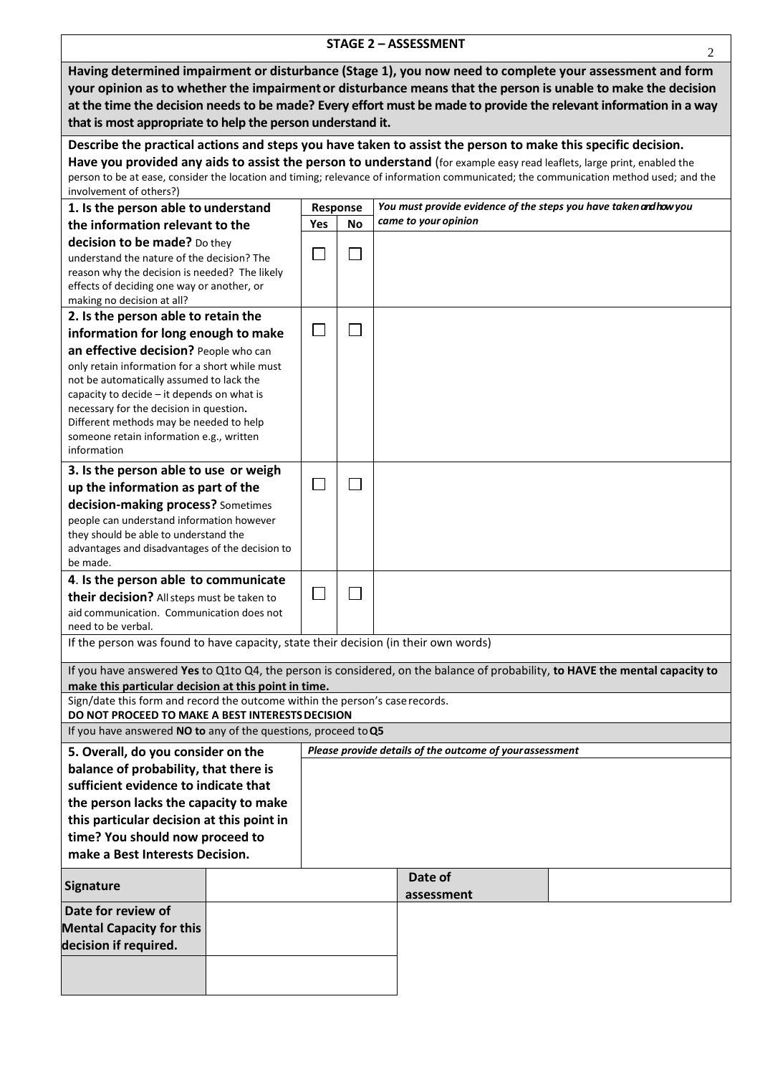| <b>STAGE 2 - ASSESSMENT</b><br>2                                                                                   |          |           |                                                                                                                                       |  |  |  |
|--------------------------------------------------------------------------------------------------------------------|----------|-----------|---------------------------------------------------------------------------------------------------------------------------------------|--|--|--|
| Having determined impairment or disturbance (Stage 1), you now need to complete your assessment and form           |          |           |                                                                                                                                       |  |  |  |
| your opinion as to whether the impairment or disturbance means that the person is unable to make the decision      |          |           |                                                                                                                                       |  |  |  |
| at the time the decision needs to be made? Every effort must be made to provide the relevant information in a way  |          |           |                                                                                                                                       |  |  |  |
| that is most appropriate to help the person understand it.                                                         |          |           |                                                                                                                                       |  |  |  |
| Describe the practical actions and steps you have taken to assist the person to make this specific decision.       |          |           |                                                                                                                                       |  |  |  |
|                                                                                                                    |          |           | Have you provided any aids to assist the person to understand (for example easy read leaflets, large print, enabled the               |  |  |  |
|                                                                                                                    |          |           | person to be at ease, consider the location and timing; relevance of information communicated; the communication method used; and the |  |  |  |
| involvement of others?)<br>1. Is the person able to understand                                                     | Response |           | You must provide evidence of the steps you have taken and how you                                                                     |  |  |  |
| the information relevant to the                                                                                    | Yes      | <b>No</b> | came to your opinion                                                                                                                  |  |  |  |
| decision to be made? Do they                                                                                       |          |           |                                                                                                                                       |  |  |  |
| understand the nature of the decision? The                                                                         |          |           |                                                                                                                                       |  |  |  |
| reason why the decision is needed? The likely                                                                      |          |           |                                                                                                                                       |  |  |  |
| effects of deciding one way or another, or<br>making no decision at all?                                           |          |           |                                                                                                                                       |  |  |  |
| 2. Is the person able to retain the                                                                                |          |           |                                                                                                                                       |  |  |  |
| information for long enough to make                                                                                |          |           |                                                                                                                                       |  |  |  |
| an effective decision? People who can                                                                              |          |           |                                                                                                                                       |  |  |  |
| only retain information for a short while must                                                                     |          |           |                                                                                                                                       |  |  |  |
| not be automatically assumed to lack the                                                                           |          |           |                                                                                                                                       |  |  |  |
| capacity to decide - it depends on what is<br>necessary for the decision in question.                              |          |           |                                                                                                                                       |  |  |  |
| Different methods may be needed to help                                                                            |          |           |                                                                                                                                       |  |  |  |
| someone retain information e.g., written                                                                           |          |           |                                                                                                                                       |  |  |  |
| information                                                                                                        |          |           |                                                                                                                                       |  |  |  |
| 3. Is the person able to use or weigh                                                                              |          |           |                                                                                                                                       |  |  |  |
| up the information as part of the                                                                                  |          |           |                                                                                                                                       |  |  |  |
| decision-making process? Sometimes<br>people can understand information however                                    |          |           |                                                                                                                                       |  |  |  |
| they should be able to understand the                                                                              |          |           |                                                                                                                                       |  |  |  |
| advantages and disadvantages of the decision to                                                                    |          |           |                                                                                                                                       |  |  |  |
| be made.                                                                                                           |          |           |                                                                                                                                       |  |  |  |
| 4. Is the person able to communicate<br>their decision? All steps must be taken to                                 |          |           |                                                                                                                                       |  |  |  |
| aid communication. Communication does not                                                                          |          |           |                                                                                                                                       |  |  |  |
| need to be verbal.                                                                                                 |          |           |                                                                                                                                       |  |  |  |
| If the person was found to have capacity, state their decision (in their own words)                                |          |           |                                                                                                                                       |  |  |  |
|                                                                                                                    |          |           | If you have answered Yes to Q1to Q4, the person is considered, on the balance of probability, to HAVE the mental capacity to          |  |  |  |
| make this particular decision at this point in time.                                                               |          |           |                                                                                                                                       |  |  |  |
| Sign/date this form and record the outcome within the person's case records.                                       |          |           |                                                                                                                                       |  |  |  |
| DO NOT PROCEED TO MAKE A BEST INTERESTS DECISION<br>If you have answered NO to any of the questions, proceed to Q5 |          |           |                                                                                                                                       |  |  |  |
| 5. Overall, do you consider on the<br>Please provide details of the outcome of yourassessment                      |          |           |                                                                                                                                       |  |  |  |
| balance of probability, that there is                                                                              |          |           |                                                                                                                                       |  |  |  |
| sufficient evidence to indicate that                                                                               |          |           |                                                                                                                                       |  |  |  |
| the person lacks the capacity to make                                                                              |          |           |                                                                                                                                       |  |  |  |
| this particular decision at this point in                                                                          |          |           |                                                                                                                                       |  |  |  |
| time? You should now proceed to                                                                                    |          |           |                                                                                                                                       |  |  |  |
| make a Best Interests Decision.                                                                                    |          |           |                                                                                                                                       |  |  |  |
| <b>Signature</b>                                                                                                   |          |           | Date of<br>assessment                                                                                                                 |  |  |  |
| Date for review of                                                                                                 |          |           |                                                                                                                                       |  |  |  |
| <b>Mental Capacity for this</b>                                                                                    |          |           |                                                                                                                                       |  |  |  |
| decision if required.                                                                                              |          |           |                                                                                                                                       |  |  |  |
|                                                                                                                    |          |           |                                                                                                                                       |  |  |  |
|                                                                                                                    |          |           |                                                                                                                                       |  |  |  |
|                                                                                                                    |          |           |                                                                                                                                       |  |  |  |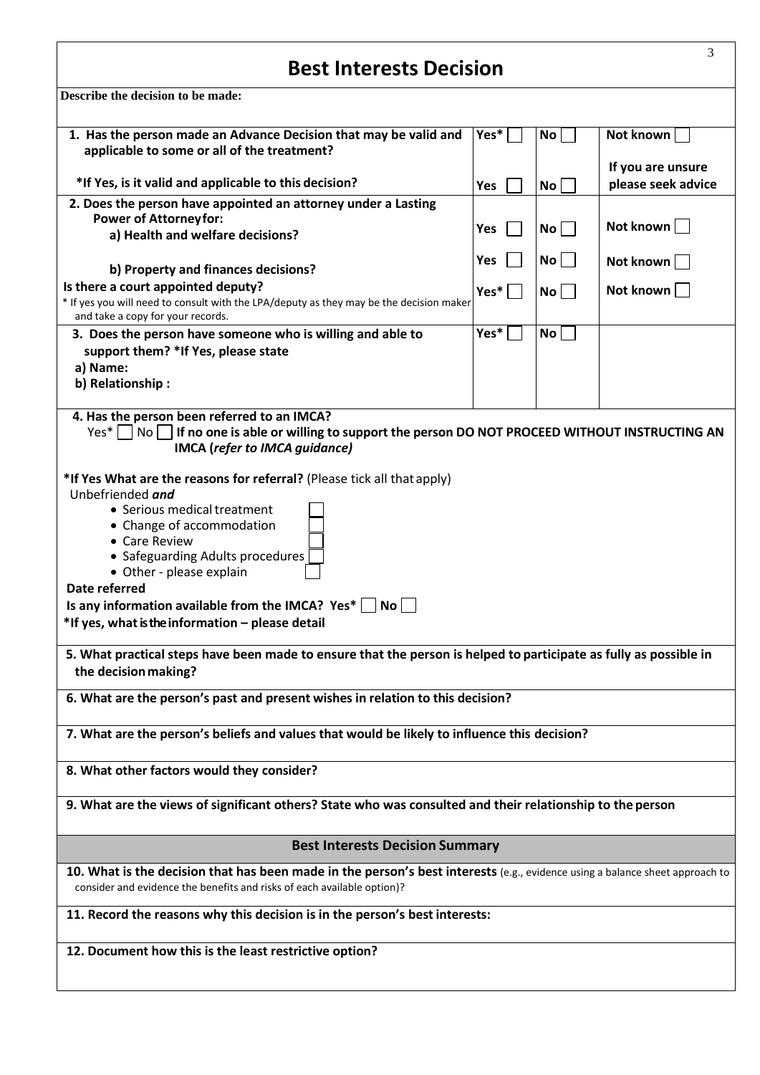## **Best Interests Decision**

| Describe the decision to be made:                                                                                                                                                                                                                                                                                                                                                 |      |           |                                         |  |  |  |
|-----------------------------------------------------------------------------------------------------------------------------------------------------------------------------------------------------------------------------------------------------------------------------------------------------------------------------------------------------------------------------------|------|-----------|-----------------------------------------|--|--|--|
| 1. Has the person made an Advance Decision that may be valid and<br>applicable to some or all of the treatment?                                                                                                                                                                                                                                                                   | Yes* | No        | Not known                               |  |  |  |
| *If Yes, is it valid and applicable to this decision?                                                                                                                                                                                                                                                                                                                             | Yes  | <b>No</b> | If you are unsure<br>please seek advice |  |  |  |
| 2. Does the person have appointed an attorney under a Lasting<br><b>Power of Attorneyfor:</b>                                                                                                                                                                                                                                                                                     | Yes  | No        | Not known                               |  |  |  |
| a) Health and welfare decisions?                                                                                                                                                                                                                                                                                                                                                  |      |           |                                         |  |  |  |
| b) Property and finances decisions?                                                                                                                                                                                                                                                                                                                                               | Yes  | No        | Not known                               |  |  |  |
| Is there a court appointed deputy?<br>* If yes you will need to consult with the LPA/deputy as they may be the decision maker<br>and take a copy for your records.                                                                                                                                                                                                                | Yes* | No        | Not known                               |  |  |  |
| 3. Does the person have someone who is willing and able to<br>support them? *If Yes, please state<br>a) Name:                                                                                                                                                                                                                                                                     | Yes* | No        |                                         |  |  |  |
| b) Relationship:                                                                                                                                                                                                                                                                                                                                                                  |      |           |                                         |  |  |  |
| 4. Has the person been referred to an IMCA?<br>$Yes*    No $<br>If no one is able or willing to support the person DO NOT PROCEED WITHOUT INSTRUCTING AN<br>IMCA (refer to IMCA guidance)                                                                                                                                                                                         |      |           |                                         |  |  |  |
| *If Yes What are the reasons for referral? (Please tick all that apply)<br>Unbefriended and<br>• Serious medical treatment<br>• Change of accommodation<br>• Care Review<br>• Safeguarding Adults procedures<br>• Other - please explain<br>Date referred<br>Is any information available from the IMCA? Yes* $\vert$  No    <br>*If yes, what is the information - please detail |      |           |                                         |  |  |  |
| 5. What practical steps have been made to ensure that the person is helped to participate as fully as possible in<br>the decision making?                                                                                                                                                                                                                                         |      |           |                                         |  |  |  |
| 6. What are the person's past and present wishes in relation to this decision?                                                                                                                                                                                                                                                                                                    |      |           |                                         |  |  |  |
| 7. What are the person's beliefs and values that would be likely to influence this decision?                                                                                                                                                                                                                                                                                      |      |           |                                         |  |  |  |
| 8. What other factors would they consider?                                                                                                                                                                                                                                                                                                                                        |      |           |                                         |  |  |  |
| 9. What are the views of significant others? State who was consulted and their relationship to the person                                                                                                                                                                                                                                                                         |      |           |                                         |  |  |  |
| <b>Best Interests Decision Summary</b>                                                                                                                                                                                                                                                                                                                                            |      |           |                                         |  |  |  |
| 10. What is the decision that has been made in the person's best interests (e.g., evidence using a balance sheet approach to<br>consider and evidence the benefits and risks of each available option)?                                                                                                                                                                           |      |           |                                         |  |  |  |
| 11. Record the reasons why this decision is in the person's best interests:                                                                                                                                                                                                                                                                                                       |      |           |                                         |  |  |  |
| 12. Document how this is the least restrictive option?                                                                                                                                                                                                                                                                                                                            |      |           |                                         |  |  |  |

3